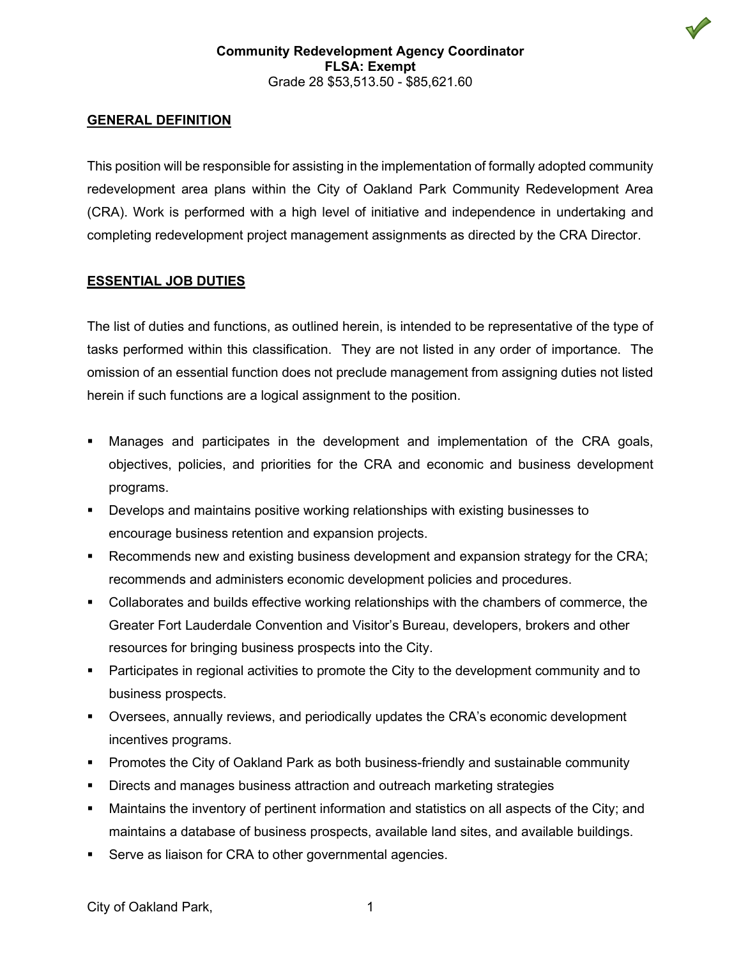#### **GENERAL DEFINITION**

This position will be responsible for assisting in the implementation of formally adopted community redevelopment area plans within the City of Oakland Park Community Redevelopment Area (CRA). Work is performed with a high level of initiative and independence in undertaking and completing redevelopment project management assignments as directed by the CRA Director.

#### **ESSENTIAL JOB DUTIES**

The list of duties and functions, as outlined herein, is intended to be representative of the type of tasks performed within this classification. They are not listed in any order of importance. The omission of an essential function does not preclude management from assigning duties not listed herein if such functions are a logical assignment to the position.

- Manages and participates in the development and implementation of the CRA goals, objectives, policies, and priorities for the CRA and economic and business development programs.
- Develops and maintains positive working relationships with existing businesses to encourage business retention and expansion projects.
- Recommends new and existing business development and expansion strategy for the CRA; recommends and administers economic development policies and procedures.
- Collaborates and builds effective working relationships with the chambers of commerce, the Greater Fort Lauderdale Convention and Visitor's Bureau, developers, brokers and other resources for bringing business prospects into the City.
- Participates in regional activities to promote the City to the development community and to business prospects.
- Oversees, annually reviews, and periodically updates the CRA's economic development incentives programs.
- Promotes the City of Oakland Park as both business-friendly and sustainable community
- Directs and manages business attraction and outreach marketing strategies
- Maintains the inventory of pertinent information and statistics on all aspects of the City; and maintains a database of business prospects, available land sites, and available buildings.
- Serve as liaison for CRA to other governmental agencies.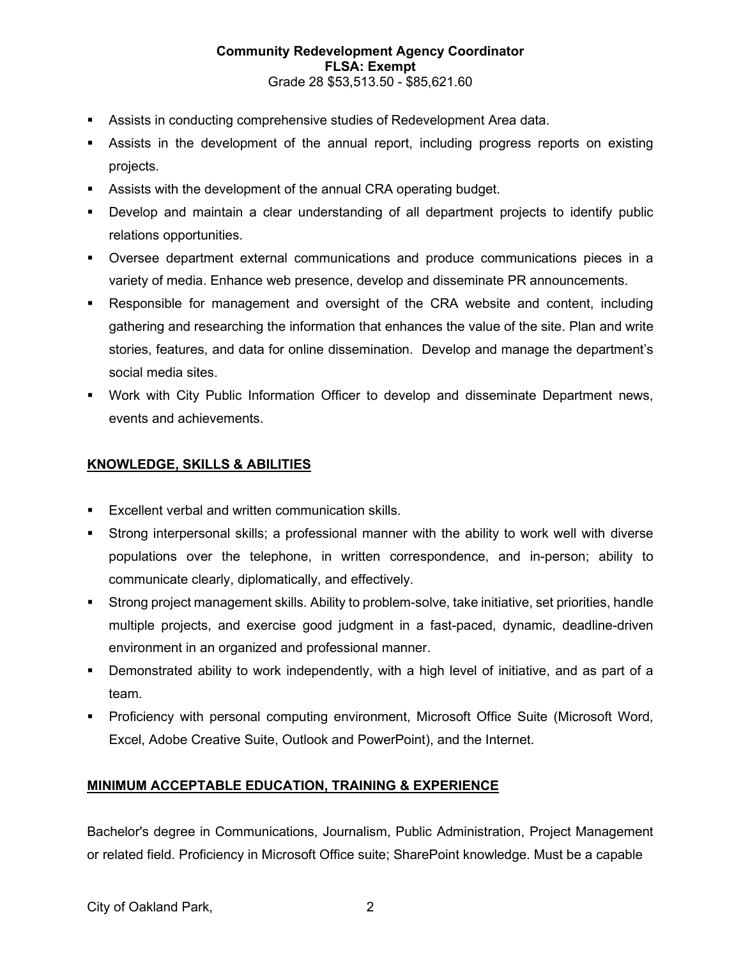#### **Community Redevelopment Agency Coordinator FLSA: Exempt** Grade 28 \$53,513.50 - \$85,621.60

- Assists in conducting comprehensive studies of Redevelopment Area data.
- Assists in the development of the annual report, including progress reports on existing projects.
- Assists with the development of the annual CRA operating budget.
- Develop and maintain a clear understanding of all department projects to identify public relations opportunities.
- Oversee department external communications and produce communications pieces in a variety of media. Enhance web presence, develop and disseminate PR announcements.
- Responsible for management and oversight of the CRA website and content, including gathering and researching the information that enhances the value of the site. Plan and write stories, features, and data for online dissemination. Develop and manage the department's social media sites.
- Work with City Public Information Officer to develop and disseminate Department news, events and achievements.

# **KNOWLEDGE, SKILLS & ABILITIES**

- **Excellent verbal and written communication skills.**
- Strong interpersonal skills; a professional manner with the ability to work well with diverse populations over the telephone, in written correspondence, and in-person; ability to communicate clearly, diplomatically, and effectively.
- Strong project management skills. Ability to problem-solve, take initiative, set priorities, handle multiple projects, and exercise good judgment in a fast-paced, dynamic, deadline-driven environment in an organized and professional manner.
- Demonstrated ability to work independently, with a high level of initiative, and as part of a team.
- Proficiency with personal computing environment, Microsoft Office Suite (Microsoft Word, Excel, Adobe Creative Suite, Outlook and PowerPoint), and the Internet.

# **MINIMUM ACCEPTABLE EDUCATION, TRAINING & EXPERIENCE**

Bachelor's degree in Communications, Journalism, Public Administration, Project Management or related field. Proficiency in Microsoft Office suite; SharePoint knowledge. Must be a capable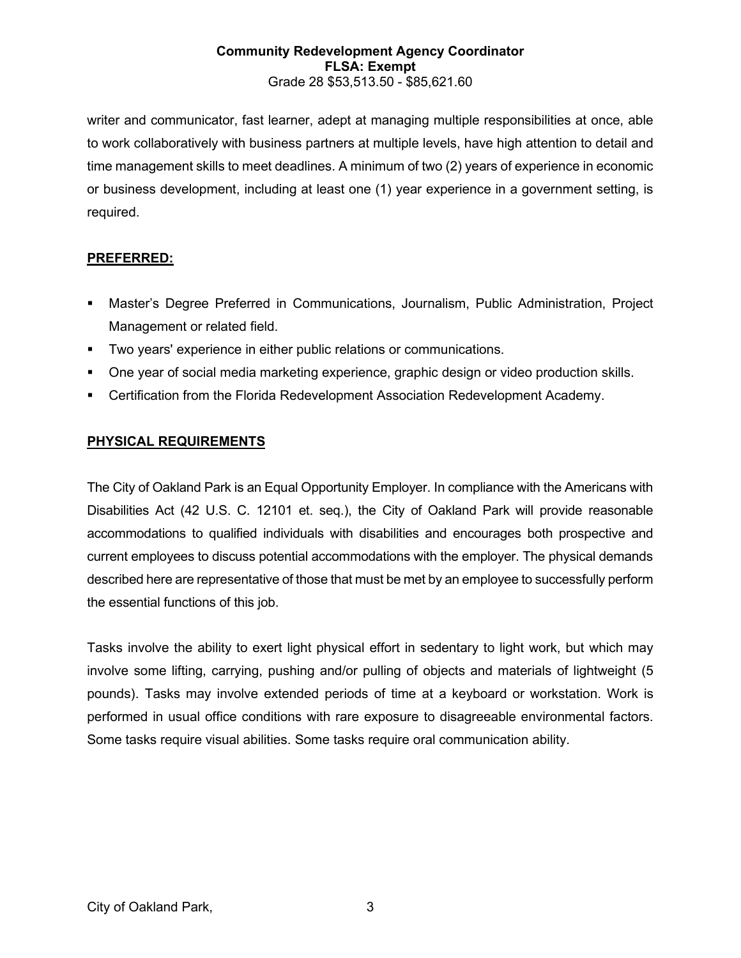#### **Community Redevelopment Agency Coordinator FLSA: Exempt** Grade 28 \$53,513.50 - \$85,621.60

writer and communicator, fast learner, adept at managing multiple responsibilities at once, able to work collaboratively with business partners at multiple levels, have high attention to detail and time management skills to meet deadlines. A minimum of two (2) years of experience in economic or business development, including at least one (1) year experience in a government setting, is required.

### **PREFERRED:**

- Master's Degree Preferred in Communications, Journalism, Public Administration, Project Management or related field.
- Two years' experience in either public relations or communications.
- One year of social media marketing experience, graphic design or video production skills.
- Certification from the Florida Redevelopment Association Redevelopment Academy.

# **PHYSICAL REQUIREMENTS**

The City of Oakland Park is an Equal Opportunity Employer. In compliance with the Americans with Disabilities Act (42 U.S. C. 12101 et. seq.), the City of Oakland Park will provide reasonable accommodations to qualified individuals with disabilities and encourages both prospective and current employees to discuss potential accommodations with the employer. The physical demands described here are representative of those that must be met by an employee to successfully perform the essential functions of this job.

Tasks involve the ability to exert light physical effort in sedentary to light work, but which may involve some lifting, carrying, pushing and/or pulling of objects and materials of lightweight (5 pounds). Tasks may involve extended periods of time at a keyboard or workstation. Work is performed in usual office conditions with rare exposure to disagreeable environmental factors. Some tasks require visual abilities. Some tasks require oral communication ability.